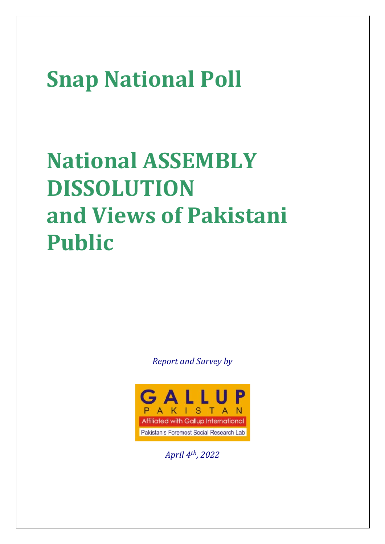# **Snap National Poll**

# **National ASSEMBLY DISSOLUTION and Views of Pakistani Public**

*Report and Survey by* 



*April 4 th, 2022*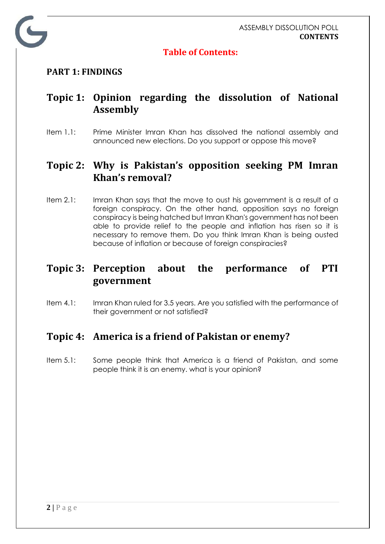

## **Table of Contents:**

## **PART 1: FINDINGS**

## **Topic 1: Opinion regarding the dissolution of National Assembly**

Item 1.1: Prime Minister Imran Khan has dissolved the national assembly and announced new elections. Do you support or oppose this move?

## **Topic 2: Why is Pakistan's opposition seeking PM Imran Khan's removal?**

Item 2.1: Imran Khan says that the move to oust his government is a result of a foreign conspiracy. On the other hand, opposition says no foreign conspiracy is being hatched but Imran Khan's government has not been able to provide relief to the people and inflation has risen so it is necessary to remove them. Do you think Imran Khan is being ousted because of inflation or because of foreign conspiracies?

## **Topic 3: Perception about the performance of PTI government**

Item 4.1: Imran Khan ruled for 3.5 years. Are you satisfied with the performance of their government or not satisfied?

## **Topic 4: America is a friend of Pakistan or enemy?**

Item 5.1: Some people think that America is a friend of Pakistan, and some people think it is an enemy. what is your opinion?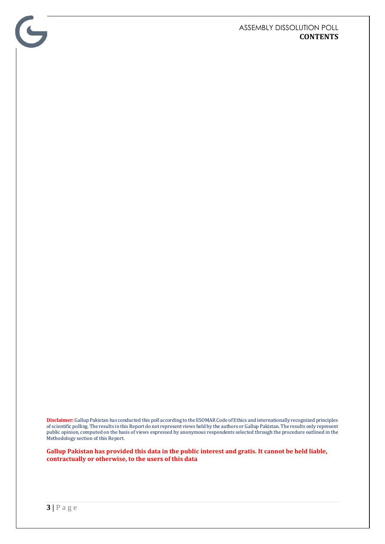#### ASSEMBLY DISSOLUTION POLL **CONTENTS**

**Disclaimer:** Gallup Pakistan has conducted this poll according to the ESOMAR Code of Ethics and internationally recognized principles of scientific polling. The results in this Report do not represent views held by the authors or Gallup Pakistan. The results only represent public opinion, computed on the basis of views expressed by anonymous respondents selected through the procedure outlined in the Methodology section of this Report.

**Gallup Pakistan has provided this data in the public interest and gratis. It cannot be held liable, contractually or otherwise, to the users of this data**

C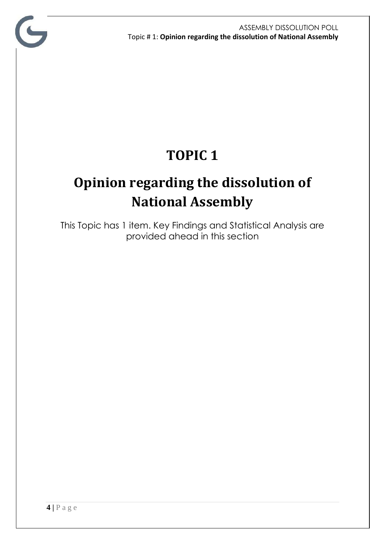# **TOPIC 1**

# **Opinion regarding the dissolution of National Assembly**

This Topic has 1 item. Key Findings and Statistical Analysis are provided ahead in this section

C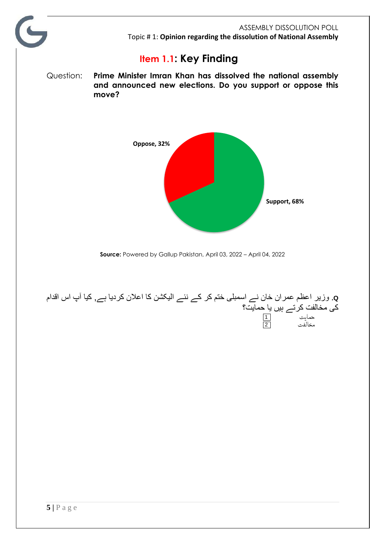# **Item 1.1: Key Finding**

Question: **Prime Minister Imran Khan has dissolved the national assembly and announced new elections. Do you support or oppose this move?**



**Source:** Powered by Gallup Pakistan, April 03, 2022 – April 04, 2022

**Q.** وزیر اعظم عمران خان نے اسمبلی ختم کر کے نئے الیکشن کا اعالن کردیا ہے, کیا آپ اس اقدام کی مخالفت کرتے ہیں یا حمایت؟ حمایت <u>1</u> مخالفت 2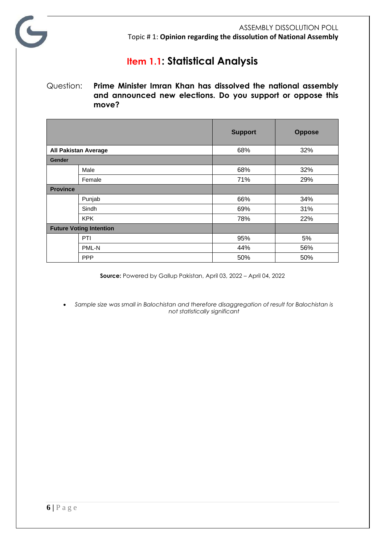

# **Item 1.1: Statistical Analysis**

### Question: **Prime Minister Imran Khan has dissolved the national assembly and announced new elections. Do you support or oppose this move?**

|                                |            | <b>Support</b> | <b>Oppose</b> |
|--------------------------------|------------|----------------|---------------|
| <b>All Pakistan Average</b>    |            | 68%            | 32%           |
| <b>Gender</b>                  |            |                |               |
|                                | Male       | 68%            | 32%           |
|                                | Female     | 71%            | 29%           |
| <b>Province</b>                |            |                |               |
|                                | Punjab     | 66%            | 34%           |
|                                | Sindh      | 69%            | 31%           |
|                                | <b>KPK</b> | 78%            | 22%           |
| <b>Future Voting Intention</b> |            |                |               |
|                                | PTI        | 95%            | 5%            |
|                                | PML-N      | 44%            | 56%           |
|                                | <b>PPP</b> | 50%            | 50%           |

**Source:** Powered by Gallup Pakistan, April 03, 2022 – April 04, 2022

• *Sample size was small in Balochistan and therefore disaggregation of result for Balochistan is not statistically significant*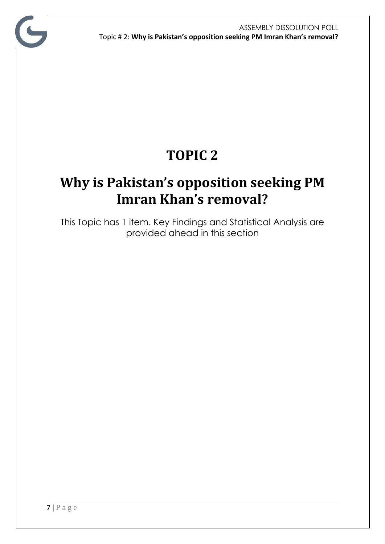

# **Why is Pakistan's opposition seeking PM Imran Khan's removal?**

This Topic has 1 item. Key Findings and Statistical Analysis are provided ahead in this section

C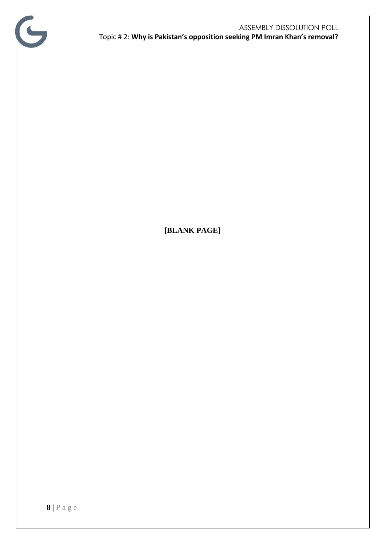### ASSEMBLY DISSOLUTION POLL Topic # 2: **Why is Pakistan's opposition seeking PM Imran Khan's removal?**

**[BLANK PAGE]**

 $\mathbf{G}$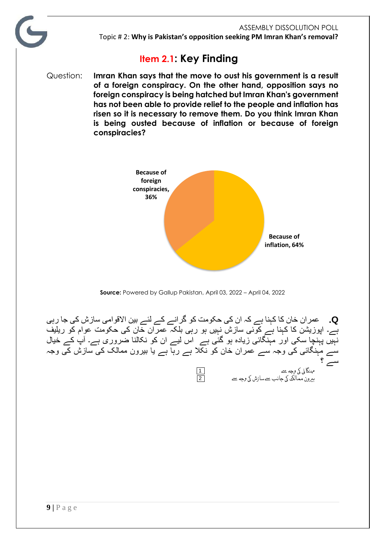## **Item 2.1: Key Finding**

Question: **Imran Khan says that the move to oust his government is a result of a foreign conspiracy. On the other hand, opposition says no foreign conspiracy is being hatched but Imran Khan's government has not been able to provide relief to the people and inflation has risen so it is necessary to remove them. Do you think Imran Khan is being ousted because of inflation or because of foreign conspiracies?**



**Source:** Powered by Gallup Pakistan, April 03, 2022 – April 04, 2022

**Q.** عمران خان کا کہنا ہے کہ ان کی حکومت کو گرانے کے لئے بین االقوامی سازش کی جا رہی ہے۔ اپوزیشن کا کہنا ہے کوئی سازش نہیں ہو رہی بلکہ عمران خان کی حکومت عوام کو ریلیف نہیں پہنچا سکی اور مہنگائی زیادہ ہو گئی ہے اس لیے ان کو نکالنا ضروری ہے۔ آپ کے خیال سے مہنگائی کی وجہ سے عمران خان کو نکال ہے رہا ہے یا بیرون ممالک کی سازش کی وجہ سے ؟ جہسے 1 مہنگا ئی کیو ׇ֦֚֘֝ بیرون ممالک کی جانب <u>سے</u>سازش کی *و*جه سے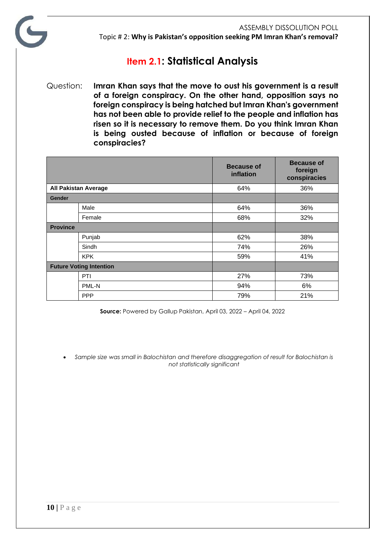

Topic # 2: **Why is Pakistan's opposition seeking PM Imran Khan's removal?**

# **Item 2.1: Statistical Analysis**

Question: **Imran Khan says that the move to oust his government is a result of a foreign conspiracy. On the other hand, opposition says no foreign conspiracy is being hatched but Imran Khan's government has not been able to provide relief to the people and inflation has risen so it is necessary to remove them. Do you think Imran Khan is being ousted because of inflation or because of foreign conspiracies?**

|                                |            | <b>Because of</b><br>inflation | <b>Because of</b><br>foreign<br>conspiracies |
|--------------------------------|------------|--------------------------------|----------------------------------------------|
| <b>All Pakistan Average</b>    |            | 64%                            | 36%                                          |
| <b>Gender</b>                  |            |                                |                                              |
|                                | Male       | 64%                            | 36%                                          |
|                                | Female     | 68%                            | 32%                                          |
| <b>Province</b>                |            |                                |                                              |
|                                | Punjab     | 62%                            | 38%                                          |
|                                | Sindh      | 74%                            | 26%                                          |
|                                | <b>KPK</b> | 59%                            | 41%                                          |
| <b>Future Voting Intention</b> |            |                                |                                              |
|                                | PTI        | 27%                            | 73%                                          |
|                                | PML-N      | 94%                            | 6%                                           |
|                                | <b>PPP</b> | 79%                            | 21%                                          |

**Source:** Powered by Gallup Pakistan, April 03, 2022 – April 04, 2022

• *Sample size was small in Balochistan and therefore disaggregation of result for Balochistan is not statistically significant*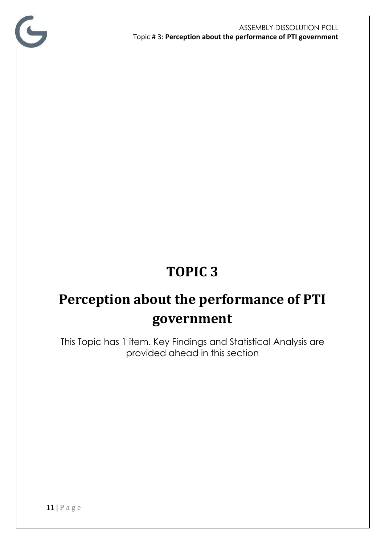ASSEMBLY DISSOLUTION POLL Topic # 3: **Perception about the performance of PTI government**

# **TOPIC 3**

# **Perception about the performance of PTI government**

This Topic has 1 item. Key Findings and Statistical Analysis are provided ahead in this section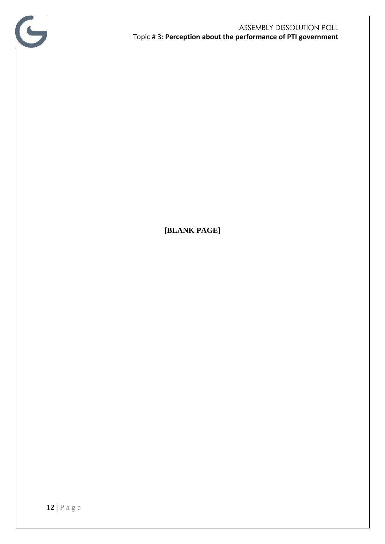# $\mathbf G$

ASSEMBLY DISSOLUTION POLL Topic # 3: **Perception about the performance of PTI government**

**[BLANK PAGE]**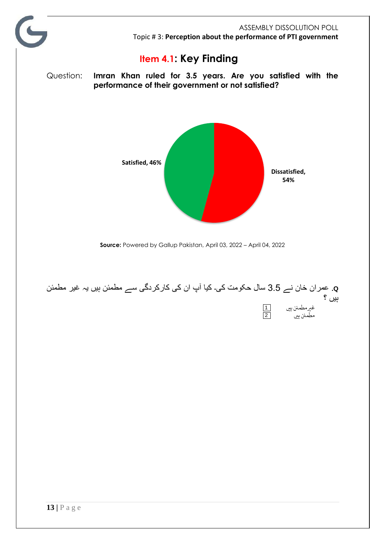

## **Item 4.1: Key Finding**

Question: **Imran Khan ruled for 3.5 years. Are you satisfied with the performance of their government or not satisfied?**



**Source:** Powered by Gallup Pakistan, April 03, 2022 – April 04, 2022

| a. عمران خان نے 3.5 سال حکومت کی۔ کیا آپ ان کی کارکردگی سے مطمئن ہیں یہ غیر مطمئن |                                        |  |
|-----------------------------------------------------------------------------------|----------------------------------------|--|
|                                                                                   | ٻيں ؟                                  |  |
|                                                                                   | غیرمطمئن ہیں ہے <u>=1</u><br>مطمئن ہیں |  |
|                                                                                   |                                        |  |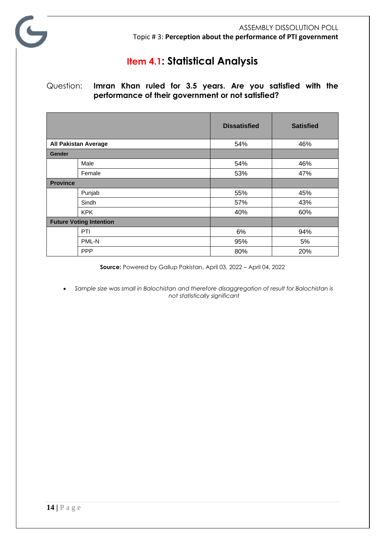

# **Item 4.1: Statistical Analysis**

### Question: **Imran Khan ruled for 3.5 years. Are you satisfied with the performance of their government or not satisfied?**

|                                |            | <b>Dissatisfied</b> | <b>Satisfied</b> |
|--------------------------------|------------|---------------------|------------------|
| <b>All Pakistan Average</b>    |            | 54%                 | 46%              |
| <b>Gender</b>                  |            |                     |                  |
|                                | Male       | 54%                 | 46%              |
|                                | Female     | 53%                 | 47%              |
| <b>Province</b>                |            |                     |                  |
|                                | Punjab     | 55%                 | 45%              |
|                                | Sindh      | 57%                 | 43%              |
|                                | <b>KPK</b> | 40%                 | 60%              |
| <b>Future Voting Intention</b> |            |                     |                  |
|                                | PTI        | 6%                  | 94%              |
|                                | PML-N      | 95%                 | 5%               |
|                                | <b>PPP</b> | 80%                 | 20%              |

**Source:** Powered by Gallup Pakistan, April 03, 2022 – April 04, 2022

• *Sample size was small in Balochistan and therefore disaggregation of result for Balochistan is not statistically significant*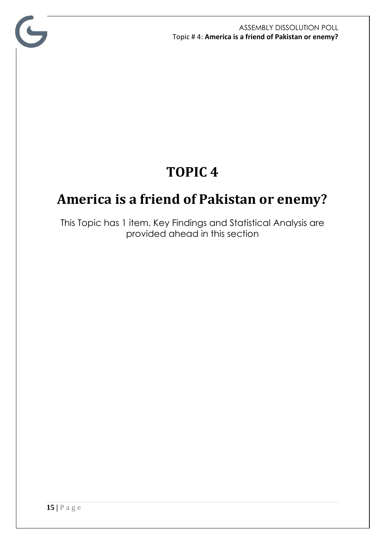ASSEMBLY DISSOLUTION POLL Topic # 4: **America is a friend of Pakistan or enemy?**

# **TOPIC 4**

# **America is a friend of Pakistan or enemy?**

This Topic has 1 item. Key Findings and Statistical Analysis are provided ahead in this section

C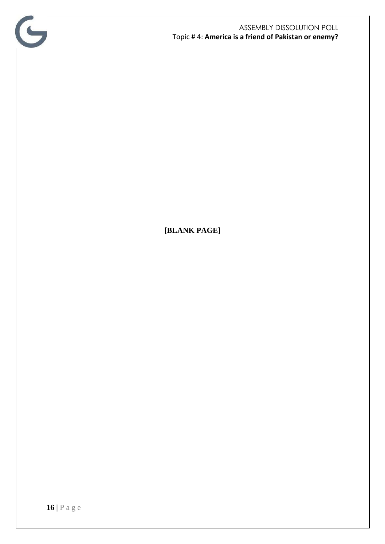

ASSEMBLY DISSOLUTION POLL Topic # 4: **America is a friend of Pakistan or enemy?**

**[BLANK PAGE]**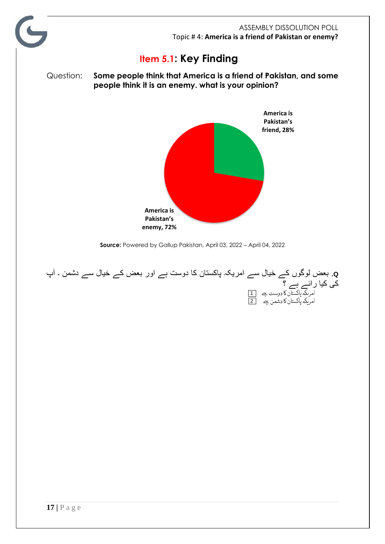

Question: **Some people think that America is a friend of Pakistan, and some people think it is an enemy. what is your opinion?**



**Source:** Powered by Gallup Pakistan, April 03, 2022 – April 04, 2022

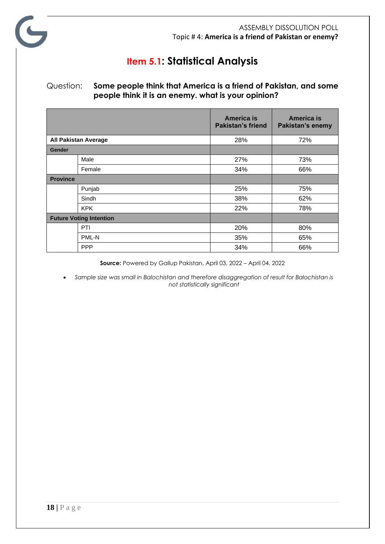



# **Item 5.1: Statistical Analysis**

### Question: **Some people think that America is a friend of Pakistan, and some people think it is an enemy. what is your opinion?**

|                                |            | <b>America is</b><br><b>Pakistan's friend</b> | America is<br>Pakistan's enemy |
|--------------------------------|------------|-----------------------------------------------|--------------------------------|
| <b>All Pakistan Average</b>    |            | 28%                                           | 72%                            |
| <b>Gender</b>                  |            |                                               |                                |
|                                | Male       | 27%                                           | 73%                            |
|                                | Female     | 34%                                           | 66%                            |
| <b>Province</b>                |            |                                               |                                |
|                                | Punjab     | 25%                                           | 75%                            |
|                                | Sindh      | 38%                                           | 62%                            |
|                                | <b>KPK</b> | 22%                                           | 78%                            |
| <b>Future Voting Intention</b> |            |                                               |                                |
|                                | PTI        | 20%                                           | 80%                            |
|                                | PML-N      | 35%                                           | 65%                            |
|                                | <b>PPP</b> | 34%                                           | 66%                            |

**Source:** Powered by Gallup Pakistan, April 03, 2022 – April 04, 2022

• *Sample size was small in Balochistan and therefore disaggregation of result for Balochistan is not statistically significant*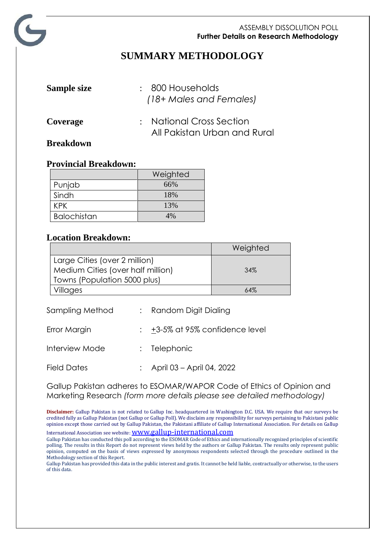

## **SUMMARY METHODOLOGY**

| <b>Sample size</b> | : 800 Households<br>(18+ Males and Females)              |
|--------------------|----------------------------------------------------------|
| Coverage           | : National Cross Section<br>All Pakistan Urban and Rural |

### **Breakdown**

### **Provincial Breakdown:**

|                    | Weighted |
|--------------------|----------|
| Punjab             | 66%      |
| Sindh              | 18%      |
| <b>KPK</b>         | 13%      |
| <b>Balochistan</b> | 4%       |

### **Location Breakdown:**

|                                                                                                    | Weighted |
|----------------------------------------------------------------------------------------------------|----------|
| Large Cities (over 2 million)<br>Medium Cities (over half million)<br>Towns (Population 5000 plus) | 34%      |
| <b>Villages</b>                                                                                    | 64%      |

| Sampling Method    | : Random Digit Dialing          |
|--------------------|---------------------------------|
| Error Margin       | : +3-5% at 95% confidence level |
| Interview Mode     | : Telephonic                    |
| <b>Field Dates</b> | April 03 – April 04, 2022       |

### Gallup Pakistan adheres to ESOMAR/WAPOR Code of Ethics of Opinion and Marketing Research *(form more details please see detailed methodology)*

**Disclaimer:** Gallup Pakistan is not related to Gallup Inc. headquartered in Washington D.C. USA. We require that our surveys be credited fully as Gallup Pakistan (not Gallup or Gallup Poll). We disclaim any responsibility for surveys pertaining to Pakistani public opinion except those carried out by Gallup Pakistan, the Pakistani affiliate of Gallup International Association. For details on Gallup

International Association see website: **WWW.gallup-international.com** 

Gallup Pakistan has provided this data in the public interest and gratis. It cannot be held liable, contractually or otherwise, to the users of this data.

Gallup Pakistan has conducted this poll according to the ESOMAR Code of Ethics and internationally recognized principles of scientific polling. The results in this Report do not represent views held by the authors or Gallup Pakistan. The results only represent public opinion, computed on the basis of views expressed by anonymous respondents selected through the procedure outlined in the Methodology section of this Report.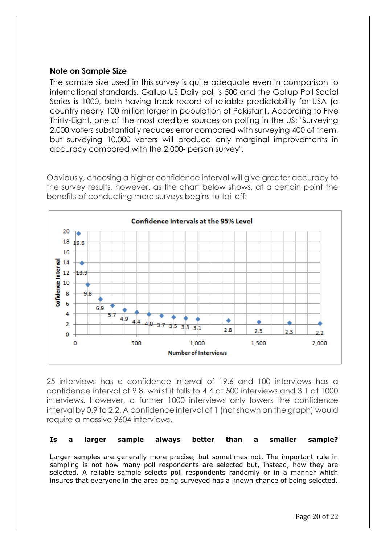### **Note on Sample Size**

The sample size used in this survey is quite adequate even in comparison to international standards. Gallup US Daily poll is 500 and the Gallup Poll Social Series is 1000, both having track record of reliable predictability for USA (a country nearly 100 million larger in population of Pakistan). According to Five Thirty-Eight, one of the most credible sources on polling in the US: "Surveying 2,000 voters substantially reduces error compared with surveying 400 of them, but surveying 10,000 voters will produce only marginal improvements in accuracy compared with the 2,000- person survey".

Obviously, choosing a higher confidence interval will give greater accuracy to the survey results, however, as the chart below shows, at a certain point the benefits of conducting more surveys begins to tail off:



25 interviews has a confidence interval of 19.6 and 100 interviews has a confidence interval of 9.8, whilst it falls to 4.4 at 500 interviews and 3.1 at 1000 interviews. However, a further 1000 interviews only lowers the confidence interval by 0.9 to 2.2. A confidence interval of 1 (not shown on the graph) would require a massive 9604 interviews.

### **Is a larger sample always better than a smaller sample?**

Larger samples are generally more precise, but sometimes not. The important rule in sampling is not how many poll respondents are selected but, instead, how they are selected. A reliable sample selects poll respondents randomly or in a manner which insures that everyone in the area being surveyed has a known chance of being selected.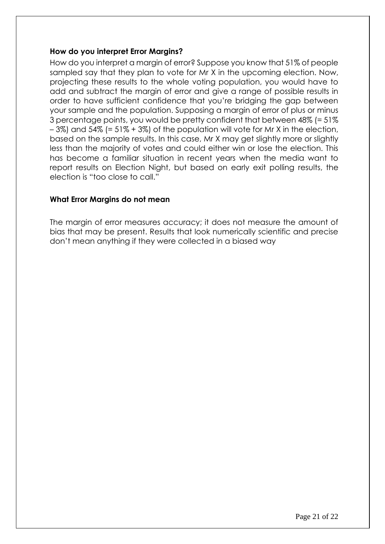### **How do you interpret Error Margins?**

How do you interpret a margin of error? Suppose you know that 51% of people sampled say that they plan to vote for Mr X in the upcoming election. Now, projecting these results to the whole voting population, you would have to add and subtract the margin of error and give a range of possible results in order to have sufficient confidence that you're bridging the gap between your sample and the population. Supposing a margin of error of plus or minus 3 percentage points, you would be pretty confident that between 48% (= 51% – 3%) and 54% (= 51% + 3%) of the population will vote for Mr X in the election, based on the sample results. In this case, Mr X may get slightly more or slightly less than the majority of votes and could either win or lose the election. This has become a familiar situation in recent years when the media want to report results on Election Night, but based on early exit polling results, the election is "too close to call."

### **What Error Margins do not mean**

The margin of error measures accuracy; it does not measure the amount of bias that may be present. Results that look numerically scientific and precise don't mean anything if they were collected in a biased way